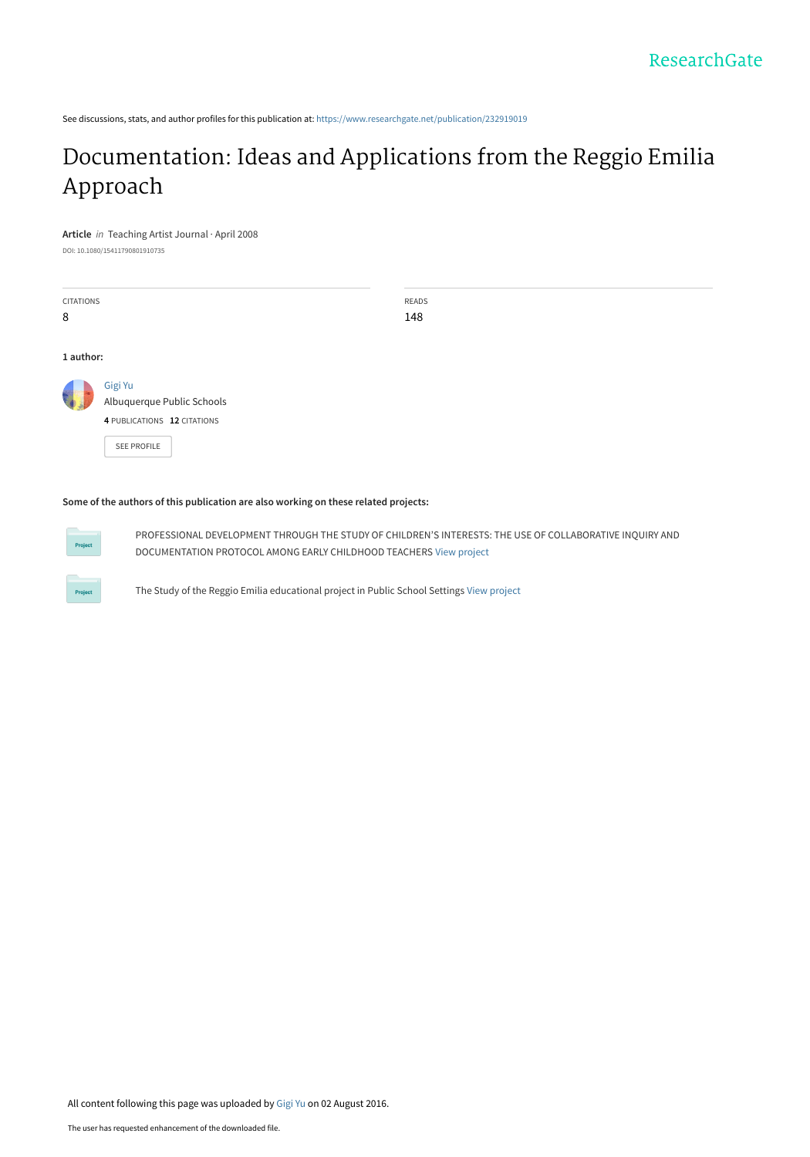See discussions, stats, and author profiles for this publication at: [https://www.researchgate.net/publication/232919019](https://www.researchgate.net/publication/232919019_Documentation_Ideas_and_Applications_from_the_Reggio_Emilia_Approach?enrichId=rgreq-293407585d41c59091d22c223e9feda2-XXX&enrichSource=Y292ZXJQYWdlOzIzMjkxOTAxOTtBUzozOTA3NTM5NzQwMTM5NTJAMTQ3MDE3NDQxNTcxNA%3D%3D&el=1_x_2&_esc=publicationCoverPdf)

# [Documentation: Ideas and Applications from the Reggio Emilia](https://www.researchgate.net/publication/232919019_Documentation_Ideas_and_Applications_from_the_Reggio_Emilia_Approach?enrichId=rgreq-293407585d41c59091d22c223e9feda2-XXX&enrichSource=Y292ZXJQYWdlOzIzMjkxOTAxOTtBUzozOTA3NTM5NzQwMTM5NTJAMTQ3MDE3NDQxNTcxNA%3D%3D&el=1_x_3&_esc=publicationCoverPdf) Approach

**Article** in Teaching Artist Journal · April 2008 DOI: 10.1080/15411790801910735

CITATIONS 8 READS 148 **1 author:** [Gigi Yu](https://www.researchgate.net/profile/Gigi_Yu?enrichId=rgreq-293407585d41c59091d22c223e9feda2-XXX&enrichSource=Y292ZXJQYWdlOzIzMjkxOTAxOTtBUzozOTA3NTM5NzQwMTM5NTJAMTQ3MDE3NDQxNTcxNA%3D%3D&el=1_x_5&_esc=publicationCoverPdf) [Albuquerque Public Schools](https://www.researchgate.net/institution/Albuquerque_Public_Schools?enrichId=rgreq-293407585d41c59091d22c223e9feda2-XXX&enrichSource=Y292ZXJQYWdlOzIzMjkxOTAxOTtBUzozOTA3NTM5NzQwMTM5NTJAMTQ3MDE3NDQxNTcxNA%3D%3D&el=1_x_6&_esc=publicationCoverPdf) **4** PUBLICATIONS **12** CITATIONS [SEE PROFILE](https://www.researchgate.net/profile/Gigi_Yu?enrichId=rgreq-293407585d41c59091d22c223e9feda2-XXX&enrichSource=Y292ZXJQYWdlOzIzMjkxOTAxOTtBUzozOTA3NTM5NzQwMTM5NTJAMTQ3MDE3NDQxNTcxNA%3D%3D&el=1_x_7&_esc=publicationCoverPdf)

#### **Some of the authors of this publication are also working on these related projects:**



PROFESSIONAL DEVELOPMENT THROUGH THE STUDY OF CHILDREN'S INTERESTS: THE USE OF COLLABORATIVE INQUIRY AND DOCUMENTATION PROTOCOL AMONG EARLY CHILDHOOD TEACHERS [View project](https://www.researchgate.net/project/PROFESSIONAL-DEVELOPMENT-THROUGH-THE-STUDY-OF-CHILDRENS-INTERESTS-THE-USE-OF-COLLABORATIVE-INQUIRY-AND-DOCUMENTATION-PROTOCOL-AMONG-EARLY-CHILDHOOD-TEACHERS?enrichId=rgreq-293407585d41c59091d22c223e9feda2-XXX&enrichSource=Y292ZXJQYWdlOzIzMjkxOTAxOTtBUzozOTA3NTM5NzQwMTM5NTJAMTQ3MDE3NDQxNTcxNA%3D%3D&el=1_x_9&_esc=publicationCoverPdf)



The Study of the Reggio Emilia educational project in Public School Settings [View project](https://www.researchgate.net/project/The-Study-of-the-Reggio-Emilia-educational-project-in-Public-School-Settings?enrichId=rgreq-293407585d41c59091d22c223e9feda2-XXX&enrichSource=Y292ZXJQYWdlOzIzMjkxOTAxOTtBUzozOTA3NTM5NzQwMTM5NTJAMTQ3MDE3NDQxNTcxNA%3D%3D&el=1_x_9&_esc=publicationCoverPdf)

All content following this page was uploaded by [Gigi Yu](https://www.researchgate.net/profile/Gigi_Yu?enrichId=rgreq-293407585d41c59091d22c223e9feda2-XXX&enrichSource=Y292ZXJQYWdlOzIzMjkxOTAxOTtBUzozOTA3NTM5NzQwMTM5NTJAMTQ3MDE3NDQxNTcxNA%3D%3D&el=1_x_10&_esc=publicationCoverPdf) on 02 August 2016.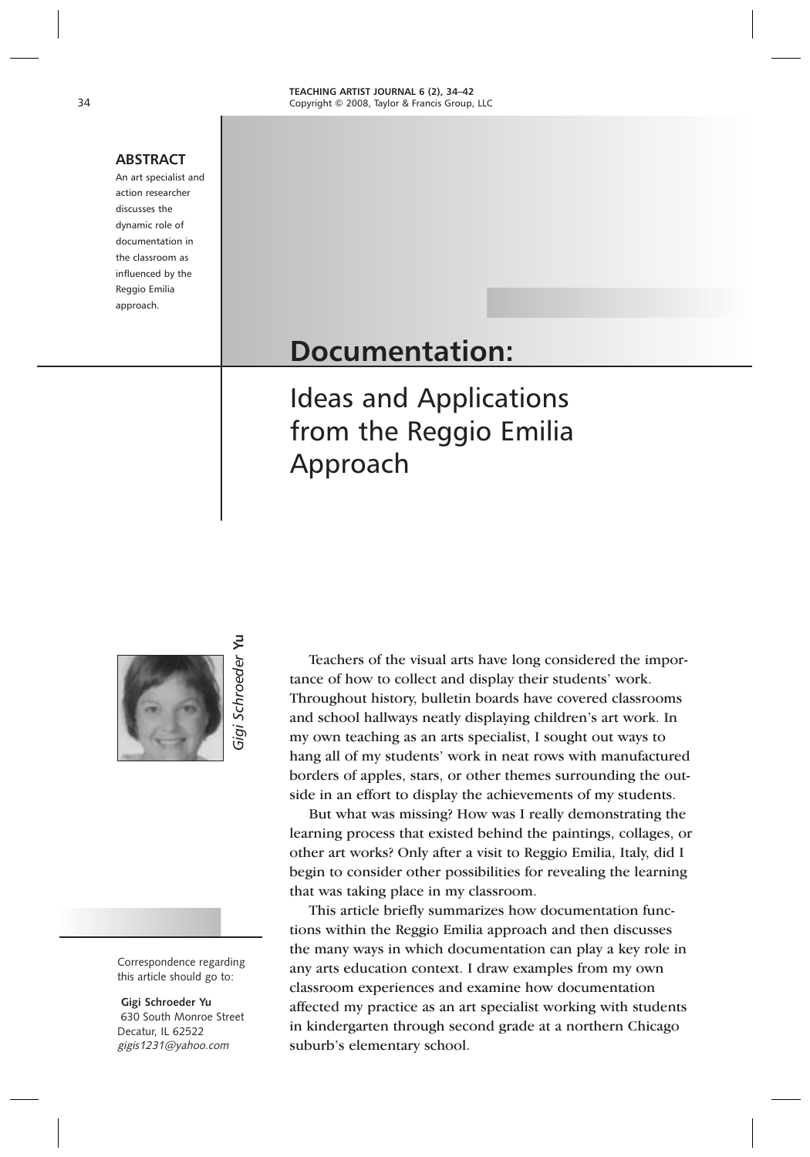#### **ABSTRACT**

An art specialist and action researcher discusses the dynamic role of documentation in the classroom as influenced by the Reggio Emilia approach.

# **Documentation:**

Ideas and Applications from the Reggio Emilia Approach

*Gigi Schroeder* **Yu**

igi

Schroeder Yu

Correspondence regarding this article should go to:

**Gigi Schroeder Yu** 630 South Monroe Street Decatur, IL 62522 gigis1231@yahoo.com

Teachers of the visual arts have long considered the importance of how to collect and display their students' work. Throughout history, bulletin boards have covered classrooms and school hallways neatly displaying children's art work. In my own teaching as an arts specialist, I sought out ways to hang all of my students' work in neat rows with manufactured borders of apples, stars, or other themes surrounding the outside in an effort to display the achievements of my students.

But what was missing? How was I really demonstrating the learning process that existed behind the paintings, collages, or other art works? Only after a visit to Reggio Emilia, Italy, did I begin to consider other possibilities for revealing the learning that was taking place in my classroom.

This article briefly summarizes how documentation functions within the Reggio Emilia approach and then discusses the many ways in which documentation can play a key role in any arts education context. I draw examples from my own classroom experiences and examine how documentation affected my practice as an art specialist working with students in kindergarten through second grade at a northern Chicago suburb's elementary school.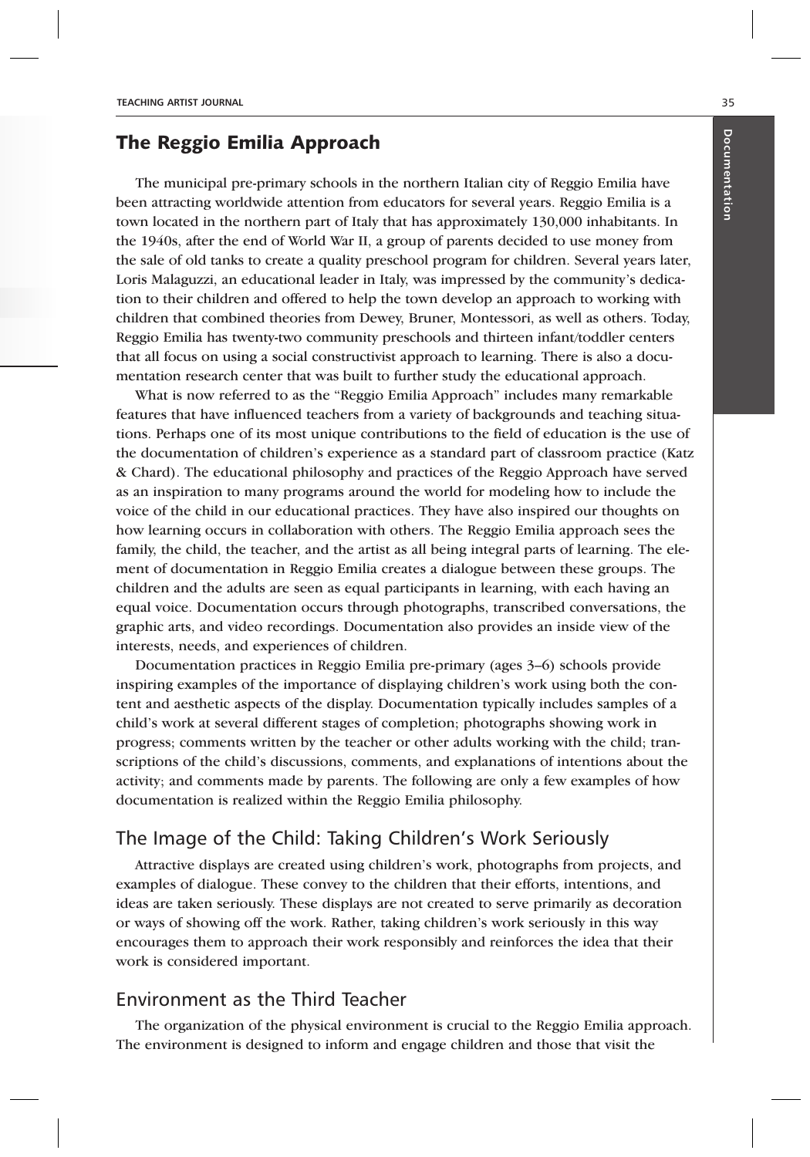## The Reggio Emilia Approach

The municipal pre-primary schools in the northern Italian city of Reggio Emilia have been attracting worldwide attention from educators for several years. Reggio Emilia is a town located in the northern part of Italy that has approximately 130,000 inhabitants. In the 1940s, after the end of World War II, a group of parents decided to use money from the sale of old tanks to create a quality preschool program for children. Several years later, Loris Malaguzzi, an educational leader in Italy, was impressed by the community's dedication to their children and offered to help the town develop an approach to working with children that combined theories from Dewey, Bruner, Montessori, as well as others. Today, Reggio Emilia has twenty-two community preschools and thirteen infant/toddler centers that all focus on using a social constructivist approach to learning. There is also a documentation research center that was built to further study the educational approach.

What is now referred to as the "Reggio Emilia Approach" includes many remarkable features that have influenced teachers from a variety of backgrounds and teaching situations. Perhaps one of its most unique contributions to the field of education is the use of the documentation of children's experience as a standard part of classroom practice (Katz & Chard). The educational philosophy and practices of the Reggio Approach have served as an inspiration to many programs around the world for modeling how to include the voice of the child in our educational practices. They have also inspired our thoughts on how learning occurs in collaboration with others. The Reggio Emilia approach sees the family, the child, the teacher, and the artist as all being integral parts of learning. The element of documentation in Reggio Emilia creates a dialogue between these groups. The children and the adults are seen as equal participants in learning, with each having an equal voice. Documentation occurs through photographs, transcribed conversations, the graphic arts, and video recordings. Documentation also provides an inside view of the interests, needs, and experiences of children.

Documentation practices in Reggio Emilia pre-primary (ages 3–6) schools provide inspiring examples of the importance of displaying children's work using both the content and aesthetic aspects of the display. Documentation typically includes samples of a child's work at several different stages of completion; photographs showing work in progress; comments written by the teacher or other adults working with the child; transcriptions of the child's discussions, comments, and explanations of intentions about the activity; and comments made by parents. The following are only a few examples of how documentation is realized within the Reggio Emilia philosophy.

#### The Image of the Child: Taking Children's Work Seriously

Attractive displays are created using children's work, photographs from projects, and examples of dialogue. These convey to the children that their efforts, intentions, and ideas are taken seriously. These displays are not created to serve primarily as decoration or ways of showing off the work. Rather, taking children's work seriously in this way encourages them to approach their work responsibly and reinforces the idea that their work is considered important.

#### Environment as the Third Teacher

The organization of the physical environment is crucial to the Reggio Emilia approach. The environment is designed to inform and engage children and those that visit the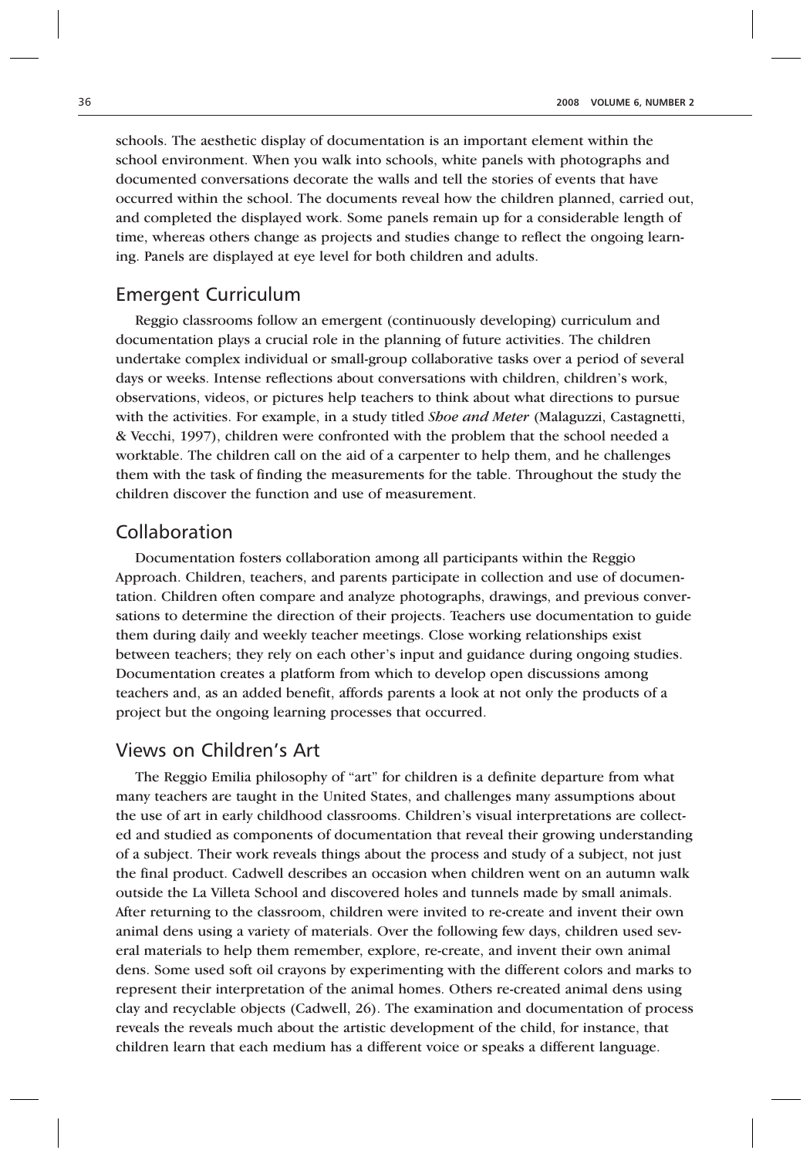schools. The aesthetic display of documentation is an important element within the school environment. When you walk into schools, white panels with photographs and documented conversations decorate the walls and tell the stories of events that have occurred within the school. The documents reveal how the children planned, carried out, and completed the displayed work. Some panels remain up for a considerable length of time, whereas others change as projects and studies change to reflect the ongoing learning. Panels are displayed at eye level for both children and adults.

#### Emergent Curriculum

Reggio classrooms follow an emergent (continuously developing) curriculum and documentation plays a crucial role in the planning of future activities. The children undertake complex individual or small-group collaborative tasks over a period of several days or weeks. Intense reflections about conversations with children, children's work, observations, videos, or pictures help teachers to think about what directions to pursue with the activities. For example, in a study titled *Shoe and Meter* (Malaguzzi, Castagnetti, & Vecchi, 1997), children were confronted with the problem that the school needed a worktable. The children call on the aid of a carpenter to help them, and he challenges them with the task of finding the measurements for the table. Throughout the study the children discover the function and use of measurement.

#### Collaboration

Documentation fosters collaboration among all participants within the Reggio Approach. Children, teachers, and parents participate in collection and use of documentation. Children often compare and analyze photographs, drawings, and previous conversations to determine the direction of their projects. Teachers use documentation to guide them during daily and weekly teacher meetings. Close working relationships exist between teachers; they rely on each other's input and guidance during ongoing studies. Documentation creates a platform from which to develop open discussions among teachers and, as an added benefit, affords parents a look at not only the products of a project but the ongoing learning processes that occurred.

#### Views on Children's Art

The Reggio Emilia philosophy of "art" for children is a definite departure from what many teachers are taught in the United States, and challenges many assumptions about the use of art in early childhood classrooms. Children's visual interpretations are collected and studied as components of documentation that reveal their growing understanding of a subject. Their work reveals things about the process and study of a subject, not just the final product. Cadwell describes an occasion when children went on an autumn walk outside the La Villeta School and discovered holes and tunnels made by small animals. After returning to the classroom, children were invited to re-create and invent their own animal dens using a variety of materials. Over the following few days, children used several materials to help them remember, explore, re-create, and invent their own animal dens. Some used soft oil crayons by experimenting with the different colors and marks to represent their interpretation of the animal homes. Others re-created animal dens using clay and recyclable objects (Cadwell, 26). The examination and documentation of process reveals the reveals much about the artistic development of the child, for instance, that children learn that each medium has a different voice or speaks a different language.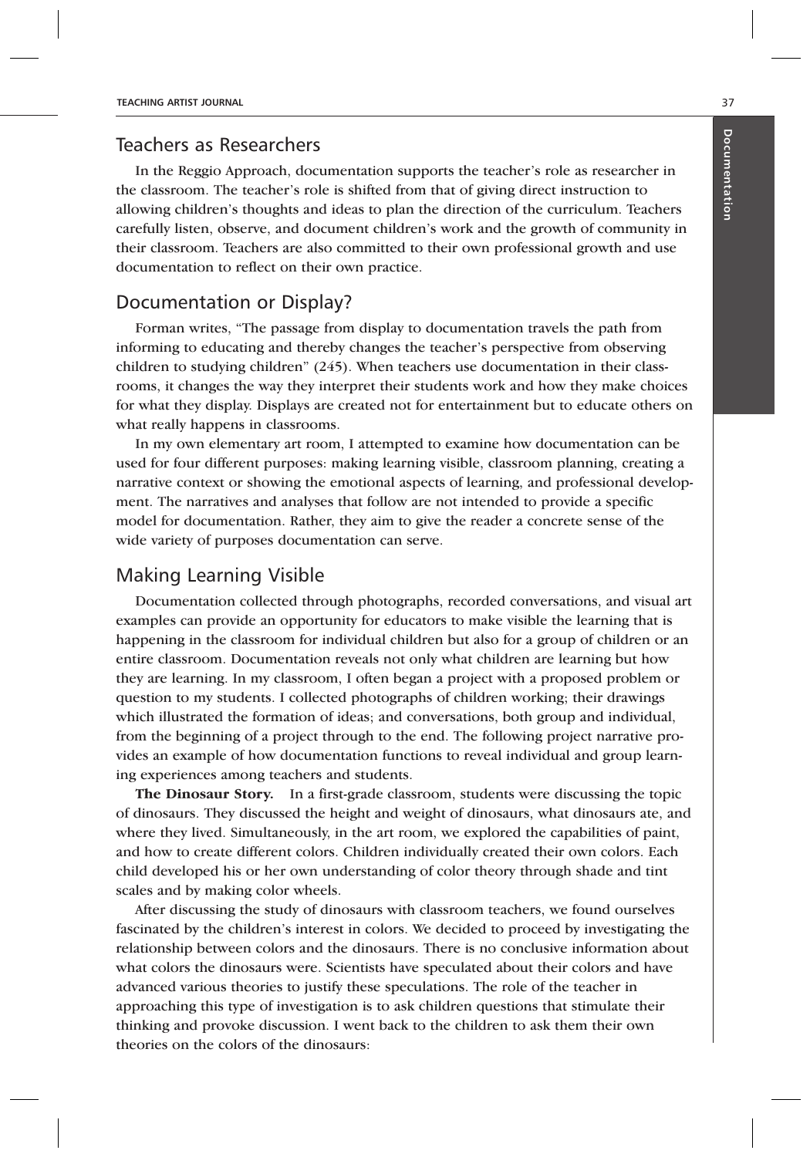#### Teachers as Researchers

In the Reggio Approach, documentation supports the teacher's role as researcher in the classroom. The teacher's role is shifted from that of giving direct instruction to allowing children's thoughts and ideas to plan the direction of the curriculum. Teachers carefully listen, observe, and document children's work and the growth of community in their classroom. Teachers are also committed to their own professional growth and use documentation to reflect on their own practice.

#### Documentation or Display?

Forman writes, "The passage from display to documentation travels the path from informing to educating and thereby changes the teacher's perspective from observing children to studying children" (245). When teachers use documentation in their classrooms, it changes the way they interpret their students work and how they make choices for what they display. Displays are created not for entertainment but to educate others on what really happens in classrooms.

In my own elementary art room, I attempted to examine how documentation can be used for four different purposes: making learning visible, classroom planning, creating a narrative context or showing the emotional aspects of learning, and professional development. The narratives and analyses that follow are not intended to provide a specific model for documentation. Rather, they aim to give the reader a concrete sense of the wide variety of purposes documentation can serve.

#### Making Learning Visible

Documentation collected through photographs, recorded conversations, and visual art examples can provide an opportunity for educators to make visible the learning that is happening in the classroom for individual children but also for a group of children or an entire classroom. Documentation reveals not only what children are learning but how they are learning. In my classroom, I often began a project with a proposed problem or question to my students. I collected photographs of children working; their drawings which illustrated the formation of ideas; and conversations, both group and individual, from the beginning of a project through to the end. The following project narrative provides an example of how documentation functions to reveal individual and group learning experiences among teachers and students.

**The Dinosaur Story.** In a first-grade classroom, students were discussing the topic of dinosaurs. They discussed the height and weight of dinosaurs, what dinosaurs ate, and where they lived. Simultaneously, in the art room, we explored the capabilities of paint, and how to create different colors. Children individually created their own colors. Each child developed his or her own understanding of color theory through shade and tint scales and by making color wheels.

After discussing the study of dinosaurs with classroom teachers, we found ourselves fascinated by the children's interest in colors. We decided to proceed by investigating the relationship between colors and the dinosaurs. There is no conclusive information about what colors the dinosaurs were. Scientists have speculated about their colors and have advanced various theories to justify these speculations. The role of the teacher in approaching this type of investigation is to ask children questions that stimulate their thinking and provoke discussion. I went back to the children to ask them their own theories on the colors of the dinosaurs: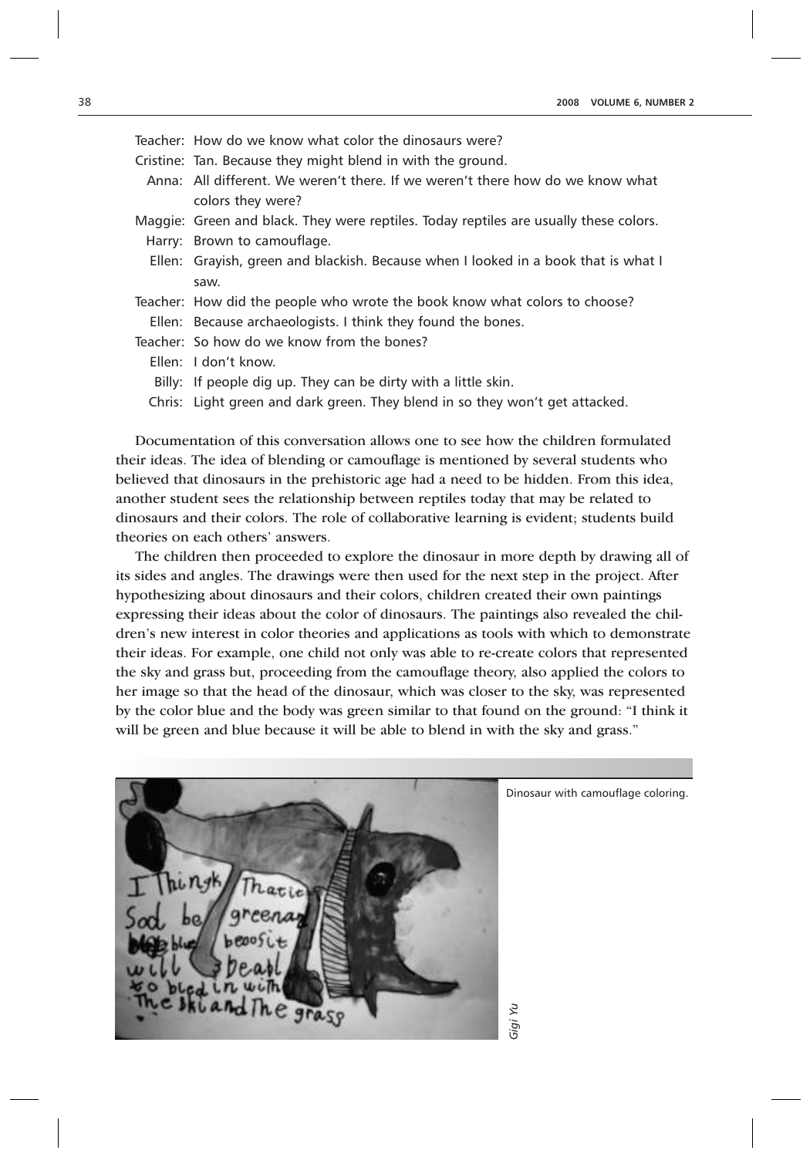| Teacher: How do we know what color the dinosaurs were?                                |
|---------------------------------------------------------------------------------------|
| Cristine: Tan. Because they might blend in with the ground.                           |
| Anna: All different. We weren't there. If we weren't there how do we know what        |
| colors they were?                                                                     |
| Maggie: Green and black. They were reptiles. Today reptiles are usually these colors. |
| Harry: Brown to camouflage.                                                           |
| Ellen: Grayish, green and blackish. Because when I looked in a book that is what I    |
| saw.                                                                                  |
| Teacher: How did the people who wrote the book know what colors to choose?            |
| Ellen: Because archaeologists. I think they found the bones.                          |
| Teacher: So how do we know from the bones?                                            |
| Ellen: I don't know.                                                                  |
| Billy: If people dig up. They can be dirty with a little skin.                        |
| Chris: Light green and dark green. They blend in so they won't get attacked.          |

Documentation of this conversation allows one to see how the children formulated their ideas. The idea of blending or camouflage is mentioned by several students who believed that dinosaurs in the prehistoric age had a need to be hidden. From this idea, another student sees the relationship between reptiles today that may be related to dinosaurs and their colors. The role of collaborative learning is evident; students build theories on each others' answers.

The children then proceeded to explore the dinosaur in more depth by drawing all of its sides and angles. The drawings were then used for the next step in the project. After hypothesizing about dinosaurs and their colors, children created their own paintings expressing their ideas about the color of dinosaurs. The paintings also revealed the children's new interest in color theories and applications as tools with which to demonstrate their ideas. For example, one child not only was able to re-create colors that represented the sky and grass but, proceeding from the camouflage theory, also applied the colors to her image so that the head of the dinosaur, which was closer to the sky, was represented by the color blue and the body was green similar to that found on the ground: "I think it will be green and blue because it will be able to blend in with the sky and grass."



Dinosaur with camouflage coloring.

*Gigi Yu*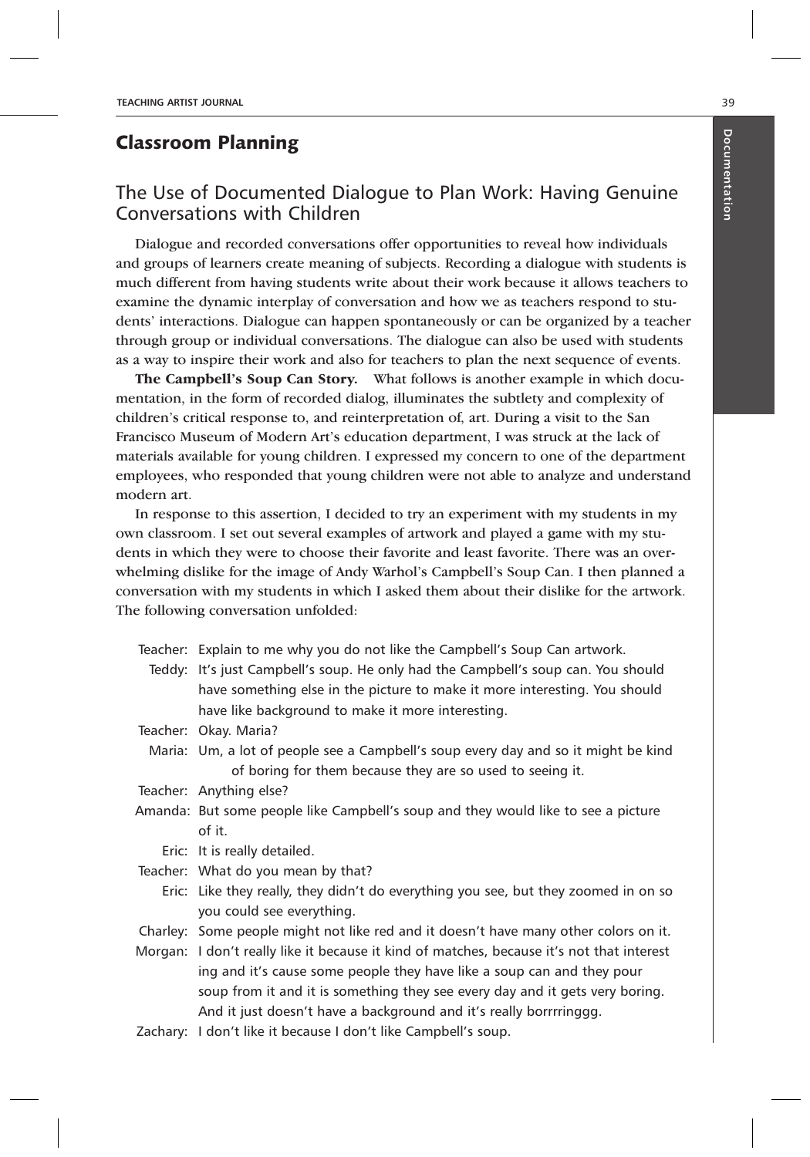## Classroom Planning

# The Use of Documented Dialogue to Plan Work: Having Genuine Conversations with Children

Dialogue and recorded conversations offer opportunities to reveal how individuals and groups of learners create meaning of subjects. Recording a dialogue with students is much different from having students write about their work because it allows teachers to examine the dynamic interplay of conversation and how we as teachers respond to students' interactions. Dialogue can happen spontaneously or can be organized by a teacher through group or individual conversations. The dialogue can also be used with students as a way to inspire their work and also for teachers to plan the next sequence of events.

**The Campbell's Soup Can Story.** What follows is another example in which documentation, in the form of recorded dialog, illuminates the subtlety and complexity of children's critical response to, and reinterpretation of, art. During a visit to the San Francisco Museum of Modern Art's education department, I was struck at the lack of materials available for young children. I expressed my concern to one of the department employees, who responded that young children were not able to analyze and understand modern art.

In response to this assertion, I decided to try an experiment with my students in my own classroom. I set out several examples of artwork and played a game with my students in which they were to choose their favorite and least favorite. There was an overwhelming dislike for the image of Andy Warhol's Campbell's Soup Can. I then planned a conversation with my students in which I asked them about their dislike for the artwork. The following conversation unfolded:

| Teacher: Explain to me why you do not like the Campbell's Soup Can artwork.               |
|-------------------------------------------------------------------------------------------|
| Teddy: It's just Campbell's soup. He only had the Campbell's soup can. You should         |
| have something else in the picture to make it more interesting. You should                |
| have like background to make it more interesting.                                         |
| Teacher: Okay. Maria?                                                                     |
| Maria: Um, a lot of people see a Campbell's soup every day and so it might be kind        |
| of boring for them because they are so used to seeing it.                                 |
| Teacher: Anything else?                                                                   |
| Amanda: But some people like Campbell's soup and they would like to see a picture         |
| of it.                                                                                    |
| Eric: It is really detailed.                                                              |
| Teacher: What do you mean by that?                                                        |
| Eric: Like they really, they didn't do everything you see, but they zoomed in on so       |
| you could see everything.                                                                 |
| Charley: Some people might not like red and it doesn't have many other colors on it.      |
| Morgan: I don't really like it because it kind of matches, because it's not that interest |
| ing and it's cause some people they have like a soup can and they pour                    |
| soup from it and it is something they see every day and it gets very boring.              |
| And it just doesn't have a background and it's really borrrringgg.                        |
| Zachary: I don't like it because I don't like Campbell's soup.                            |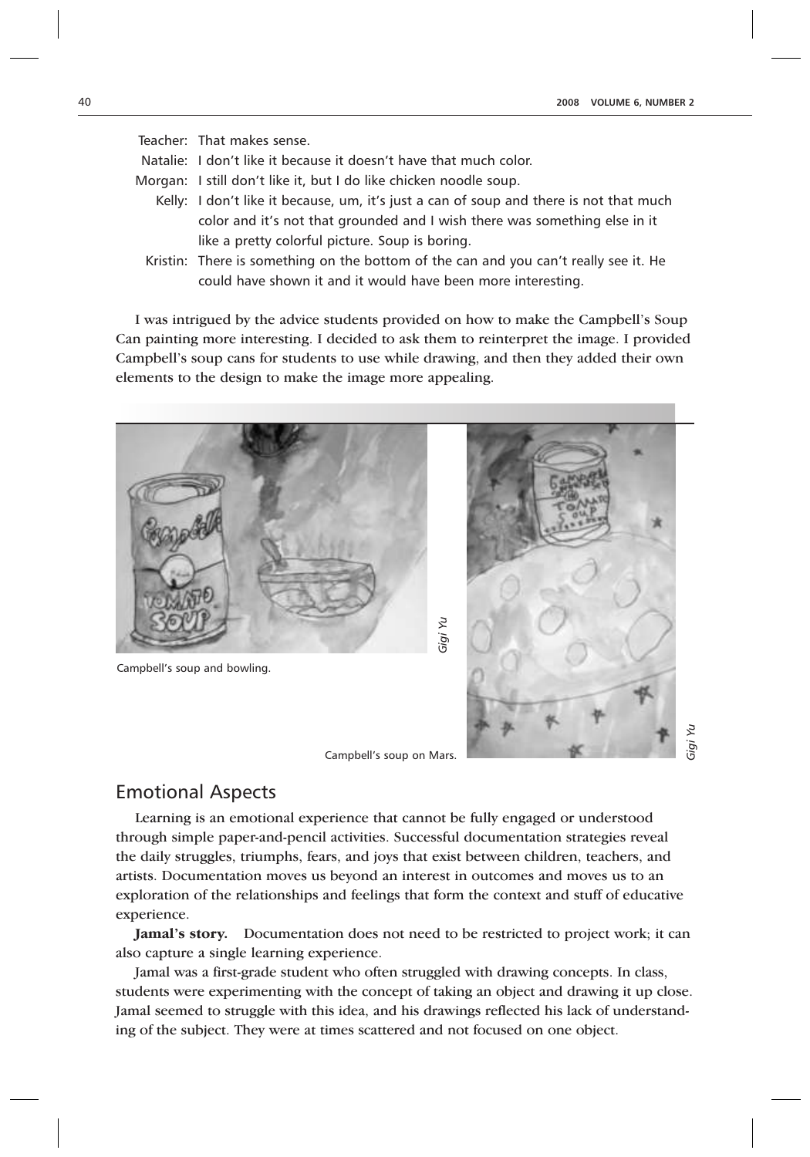| Teacher: That makes sense.                                                             |
|----------------------------------------------------------------------------------------|
| Natalie: I don't like it because it doesn't have that much color.                      |
| Morgan: I still don't like it, but I do like chicken noodle soup.                      |
| Kelly: I don't like it because, um, it's just a can of soup and there is not that much |
| color and it's not that grounded and I wish there was something else in it             |
| like a pretty colorful picture. Soup is boring.                                        |
| Kristin: There is something on the bottom of the can and you can't really see it. He   |

I was intrigued by the advice students provided on how to make the Campbell's Soup Can painting more interesting. I decided to ask them to reinterpret the image. I provided Campbell's soup cans for students to use while drawing, and then they added their own elements to the design to make the image more appealing.

could have shown it and it would have been more interesting.



Campbell's soup and bowling.



#### Emotional Aspects

Learning is an emotional experience that cannot be fully engaged or understood through simple paper-and-pencil activities. Successful documentation strategies reveal the daily struggles, triumphs, fears, and joys that exist between children, teachers, and artists. Documentation moves us beyond an interest in outcomes and moves us to an exploration of the relationships and feelings that form the context and stuff of educative experience.

**Jamal's story.** Documentation does not need to be restricted to project work; it can also capture a single learning experience.

Jamal was a first-grade student who often struggled with drawing concepts. In class, students were experimenting with the concept of taking an object and drawing it up close. Jamal seemed to struggle with this idea, and his drawings reflected his lack of understanding of the subject. They were at times scattered and not focused on one object.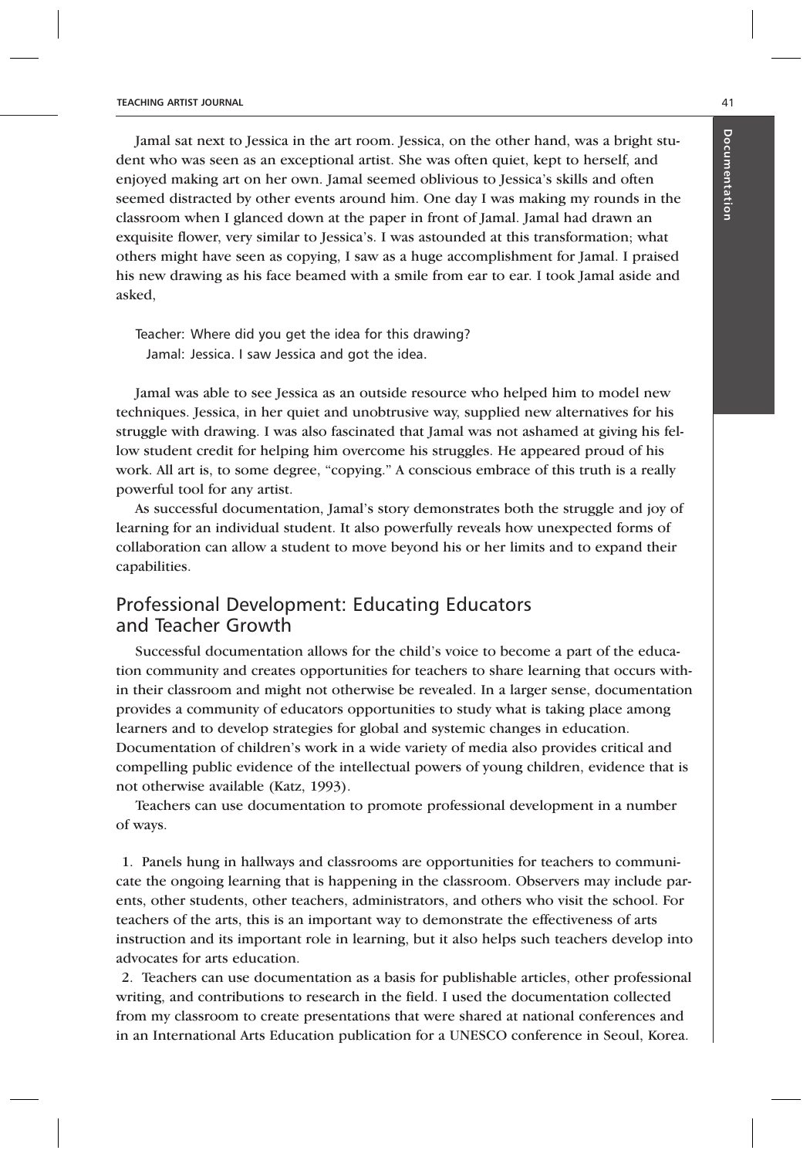Jamal sat next to Jessica in the art room. Jessica, on the other hand, was a bright student who was seen as an exceptional artist. She was often quiet, kept to herself, and enjoyed making art on her own. Jamal seemed oblivious to Jessica's skills and often seemed distracted by other events around him. One day I was making my rounds in the classroom when I glanced down at the paper in front of Jamal. Jamal had drawn an exquisite flower, very similar to Jessica's. I was astounded at this transformation; what others might have seen as copying, I saw as a huge accomplishment for Jamal. I praised his new drawing as his face beamed with a smile from ear to ear. I took Jamal aside and asked,

Teacher: Where did you get the idea for this drawing? Jamal: Jessica. I saw Jessica and got the idea.

Jamal was able to see Jessica as an outside resource who helped him to model new techniques. Jessica, in her quiet and unobtrusive way, supplied new alternatives for his struggle with drawing. I was also fascinated that Jamal was not ashamed at giving his fellow student credit for helping him overcome his struggles. He appeared proud of his work. All art is, to some degree, "copying." A conscious embrace of this truth is a really powerful tool for any artist.

As successful documentation, Jamal's story demonstrates both the struggle and joy of learning for an individual student. It also powerfully reveals how unexpected forms of collaboration can allow a student to move beyond his or her limits and to expand their capabilities.

## Professional Development: Educating Educators and Teacher Growth

Successful documentation allows for the child's voice to become a part of the education community and creates opportunities for teachers to share learning that occurs within their classroom and might not otherwise be revealed. In a larger sense, documentation provides a community of educators opportunities to study what is taking place among learners and to develop strategies for global and systemic changes in education. Documentation of children's work in a wide variety of media also provides critical and compelling public evidence of the intellectual powers of young children, evidence that is not otherwise available (Katz, 1993).

Teachers can use documentation to promote professional development in a number of ways.

1. Panels hung in hallways and classrooms are opportunities for teachers to communicate the ongoing learning that is happening in the classroom. Observers may include parents, other students, other teachers, administrators, and others who visit the school. For teachers of the arts, this is an important way to demonstrate the effectiveness of arts instruction and its important role in learning, but it also helps such teachers develop into advocates for arts education.

2. Teachers can use documentation as a basis for publishable articles, other professional writing, and contributions to research in the field. I used the documentation collected from my classroom to create presentations that were shared at national conferences and in an International Arts Education publication for a UNESCO conference in Seoul, Korea.